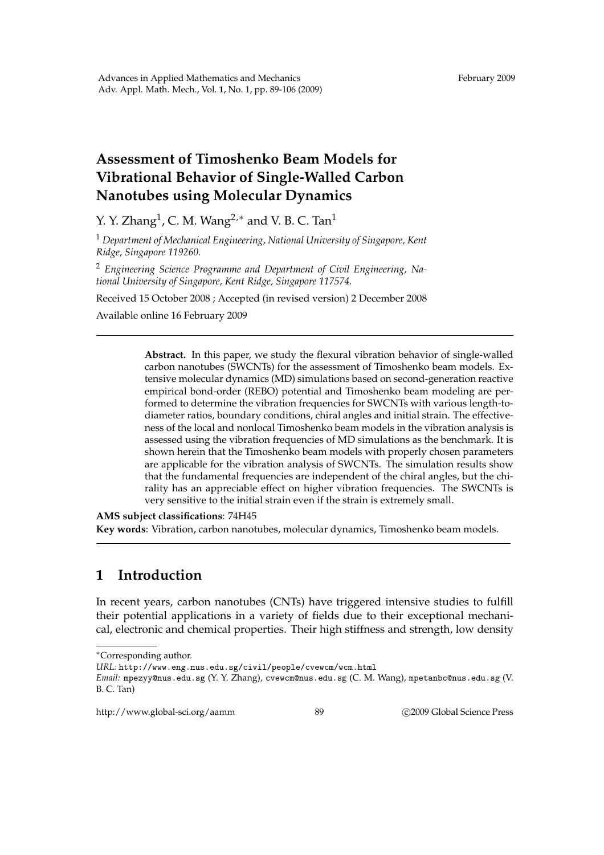## **Assessment of Timoshenko Beam Models for Vibrational Behavior of Single-Walled Carbon Nanotubes using Molecular Dynamics**

Y. Y. Zhang<sup>1</sup>, C. M. Wang<sup>2,\*</sup> and V. B. C. Tan<sup>1</sup>

<sup>1</sup> *Department of Mechanical Engineering, National University of Singapore, Kent Ridge, Singapore 119260.*

<sup>2</sup> *Engineering Science Programme and Department of Civil Engineering, National University of Singapore, Kent Ridge, Singapore 117574.*

Received 15 October 2008 ; Accepted (in revised version) 2 December 2008

Available online 16 February 2009

**Abstract.** In this paper, we study the flexural vibration behavior of single-walled carbon nanotubes (SWCNTs) for the assessment of Timoshenko beam models. Extensive molecular dynamics (MD) simulations based on second-generation reactive empirical bond-order (REBO) potential and Timoshenko beam modeling are performed to determine the vibration frequencies for SWCNTs with various length-todiameter ratios, boundary conditions, chiral angles and initial strain. The effectiveness of the local and nonlocal Timoshenko beam models in the vibration analysis is assessed using the vibration frequencies of MD simulations as the benchmark. It is shown herein that the Timoshenko beam models with properly chosen parameters are applicable for the vibration analysis of SWCNTs. The simulation results show that the fundamental frequencies are independent of the chiral angles, but the chirality has an appreciable effect on higher vibration frequencies. The SWCNTs is very sensitive to the initial strain even if the strain is extremely small.

**AMS subject classifications**: 74H45 **Key words**: Vibration, carbon nanotubes, molecular dynamics, Timoshenko beam models.

## **1 Introduction**

In recent years, carbon nanotubes (CNTs) have triggered intensive studies to fulfill their potential applications in a variety of fields due to their exceptional mechanical, electronic and chemical properties. Their high stiffness and strength, low density

http://www.global-sci.org/aamm 89 62009 Global Science Press

<sup>∗</sup>Corresponding author.

*URL:* http://www.eng.nus.edu.sg/civil/people/cvewcm/wcm.html

*Email:* mpezyy@nus.edu.sg (Y. Y. Zhang), cvewcm@nus.edu.sg (C. M. Wang), mpetanbc@nus.edu.sg (V. B. C. Tan)